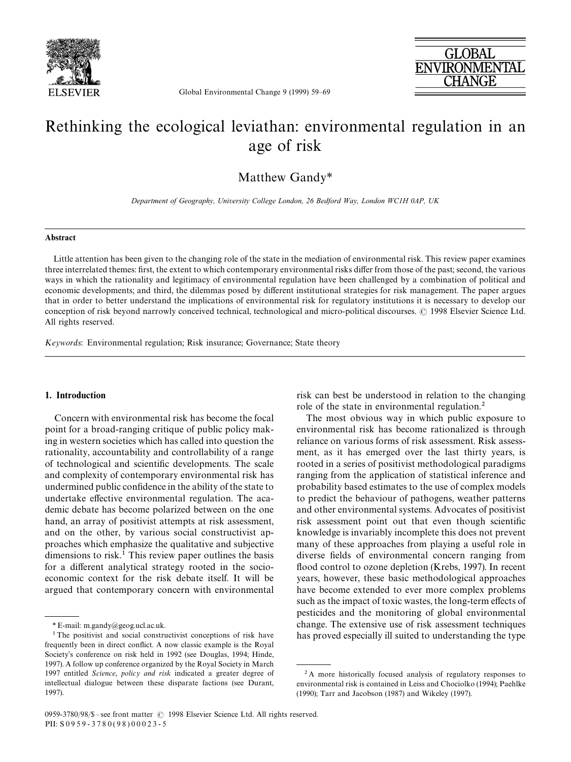

Global Environmental Change 9 (1999) 59*—*69

# Rethinking the ecological leviathan: environmental regulation in an age of risk

Matthew Gandy*\**

*Department of Geography, University College London, 26 Bedford Way, London WC1H 0AP, UK*

#### Abstract

Little attention has been given to the changing role of the state in the mediation of environmental risk. This review paper examines three interrelated themes: first, the extent to which contemporary environmental risks differ from those of the past; second, the various ways in which the rationality and legitimacy of environmental regulation have been challenged by a combination of political and economic developments; and third, the dilemmas posed by different institutional strategies for risk management. The paper argues that in order to better understand the implications of environmental risk for regulatory institutions it is necessary to develop our conception of risk beyond narrowly conceived technical, technological and micro-political discourses. © 1998 Elsevier Science Ltd. All rights reserved.

*Keywords*: Environmental regulation; Risk insurance; Governance; State theory

## 1. Introduction

Concern with environmental risk has become the focal point for a broad-ranging critique of public policy making in western societies which has called into question the rationality, accountability and controllability of a range of technological and scientific developments. The scale and complexity of contemporary environmental risk has undermined public confidence in the ability of the state to undertake effective environmental regulation. The academic debate has become polarized between on the one hand, an array of positivist attempts at risk assessment, and on the other, by various social constructivist approaches which emphasize the qualitative and subjective dimensions to risk.<sup>1</sup> This review paper outlines the basis for a different analytical strategy rooted in the socioeconomic context for the risk debate itself. It will be argued that contemporary concern with environmental

risk can best be understood in relation to the changing role of the state in environmental regulation.<sup>2</sup>

The most obvious way in which public exposure to environmental risk has become rationalized is through reliance on various forms of risk assessment. Risk assessment, as it has emerged over the last thirty years, is rooted in a series of positivist methodological paradigms ranging from the application of statistical inference and probability based estimates to the use of complex models to predict the behaviour of pathogens, weather patterns and other environmental systems. Advocates of positivist risk assessment point out that even though scientific knowledge is invariably incomplete this does not prevent many of these approaches from playing a useful role in diverse fields of environmental concern ranging from flood control to ozone depletion (Krebs, 1997). In recent years, however, these basic methodological approaches have become extended to ever more complex problems such as the impact of toxic wastes, the long-term effects of pesticides and the monitoring of global environmental change. The extensive use of risk assessment techniques has proved especially ill suited to understanding the type

*<sup>\*</sup>*E-mail: m.gandy@geog.ucl.ac.uk.

<sup>&</sup>lt;sup>1</sup>The positivist and social constructivist conceptions of risk have frequently been in direct conflict. A now classic example is the Royal Society's conference on risk held in 1992 (see Douglas, 1994; Hinde, 1997). A follow up conference organized by the Royal Society in March 1997 entitled *Science*, *policy and risk* indicated a greater degree of intellectual dialogue between these disparate factions (see Durant, 1997).

<sup>2</sup> A more historically focused analysis of regulatory responses to environmental risk is contained in Leiss and Chociolko (1994); Paehlke (1990); Tarr and Jacobson (1987) and Wikeley (1997).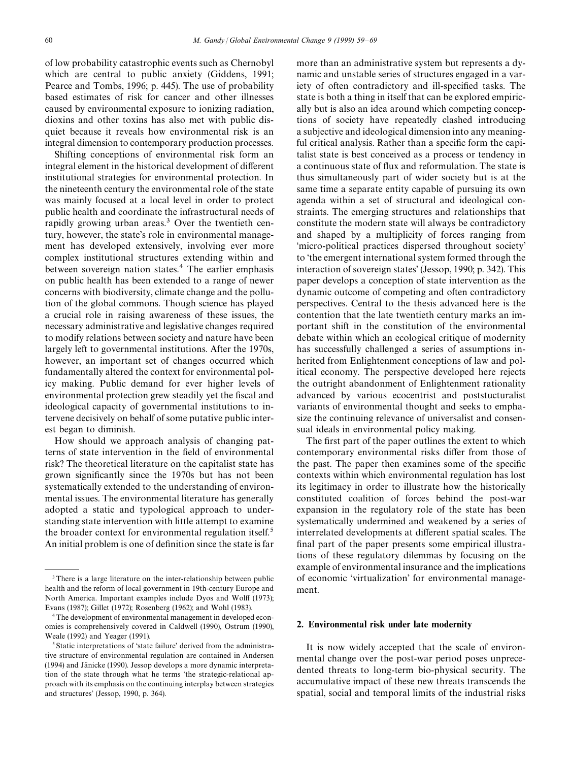of low probability catastrophic events such as Chernobyl which are central to public anxiety (Giddens, 1991; Pearce and Tombs, 1996; p. 445). The use of probability based estimates of risk for cancer and other illnesses caused by environmental exposure to ionizing radiation, dioxins and other toxins has also met with public disquiet because it reveals how environmental risk is an integral dimension to contemporary production processes.

Shifting conceptions of environmental risk form an integral element in the historical development of different institutional strategies for environmental protection. In the nineteenth century the environmental role of the state was mainly focused at a local level in order to protect public health and coordinate the infrastructural needs of rapidly growing urban areas.<sup>3</sup> Over the twentieth century, however, the state's role in environmental management has developed extensively, involving ever more complex institutional structures extending within and between sovereign nation states.<sup>4</sup> The earlier emphasis on public health has been extended to a range of newer concerns with biodiversity, climate change and the pollution of the global commons. Though science has played a crucial role in raising awareness of these issues, the necessary administrative and legislative changes required to modify relations between society and nature have been largely left to governmental institutions. After the 1970s, however, an important set of changes occurred which fundamentally altered the context for environmental policy making. Public demand for ever higher levels of environmental protection grew steadily yet the fiscal and ideological capacity of governmental institutions to intervene decisively on behalf of some putative public interest began to diminish.

How should we approach analysis of changing patterns of state intervention in the field of environmental risk? The theoretical literature on the capitalist state has grown significantly since the 1970s but has not been systematically extended to the understanding of environmental issues. The environmental literature has generally adopted a static and typological approach to understanding state intervention with little attempt to examine the broader context for environmental regulation itself.<sup>5</sup> An initial problem is one of definition since the state is far more than an administrative system but represents a dynamic and unstable series of structures engaged in a variety of often contradictory and ill-specified tasks. The state is both a thing in itself that can be explored empirically but is also an idea around which competing conceptions of society have repeatedly clashed introducing a subjective and ideological dimension into any meaningful critical analysis. Rather than a specific form the capitalist state is best conceived as a process or tendency in a continuous state of flux and reformulation. The state is thus simultaneously part of wider society but is at the same time a separate entity capable of pursuing its own agenda within a set of structural and ideological constraints. The emerging structures and relationships that constitute the modern state will always be contradictory and shaped by a multiplicity of forces ranging from 'micro-political practices dispersed throughout society' to 'the emergent international system formed through the interaction of sovereign states' (Jessop, 1990; p. 342). This paper develops a conception of state intervention as the dynamic outcome of competing and often contradictory perspectives. Central to the thesis advanced here is the contention that the late twentieth century marks an important shift in the constitution of the environmental debate within which an ecological critique of modernity has successfully challenged a series of assumptions inherited from Enlightenment conceptions of law and political economy. The perspective developed here rejects the outright abandonment of Enlightenment rationality advanced by various ecocentrist and poststucturalist variants of environmental thought and seeks to emphasize the continuing relevance of universalist and consensual ideals in environmental policy making.

The first part of the paper outlines the extent to which contemporary environmental risks differ from those of the past. The paper then examines some of the specific contexts within which environmental regulation has lost its legitimacy in order to illustrate how the historically constituted coalition of forces behind the post-war expansion in the regulatory role of the state has been systematically undermined and weakened by a series of interrelated developments at different spatial scales. The final part of the paper presents some empirical illustrations of these regulatory dilemmas by focusing on the example of environmental insurance and the implications of economic 'virtualization' for environmental management.

#### 2. Environmental risk under late modernity

It is now widely accepted that the scale of environmental change over the post-war period poses unprecedented threats to long-term bio-physical security. The accumulative impact of these new threats transcends the spatial, social and temporal limits of the industrial risks

<sup>&</sup>lt;sup>3</sup>There is a large literature on the inter-relationship between public health and the reform of local government in 19th-century Europe and North America. Important examples include Dyos and Wolff (1973); Evans (1987); Gillet (1972); Rosenberg (1962); and Wohl (1983).

<sup>&</sup>lt;sup>4</sup>The development of environmental management in developed economies is comprehensively covered in Caldwell (1990), Ostrum (1990), Weale (1992) and Yeager (1991).

<sup>&</sup>lt;sup>5</sup> Static interpretations of 'state failure' derived from the administrative structure of environmental regulation are contained in Andersen (1994) and Jänicke (1990). Jessop develops a more dynamic interpretation of the state through what he terms 'the strategic-relational approach with its emphasis on the continuing interplay between strategies and structures' (Jessop, 1990, p. 364).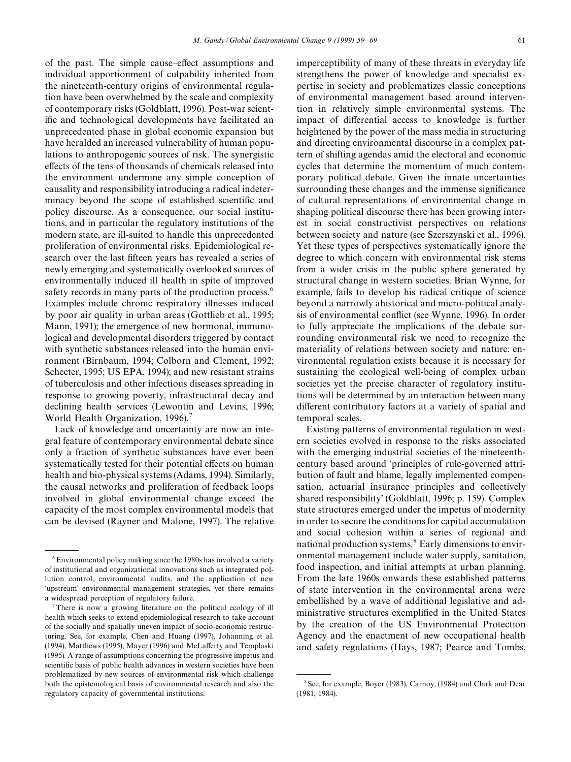of the past. The simple cause*—*effect assumptions and individual apportionment of culpability inherited from the nineteenth-century origins of environmental regulation have been overwhelmed by the scale and complexity of contemporary risks (Goldblatt, 1996). Post-war scientific and technological developments have facilitated an unprecedented phase in global economic expansion but have heralded an increased vulnerability of human populations to anthropogenic sources of risk. The synergistic effects of the tens of thousands of chemicals released into the environment undermine any simple conception of causality and responsibility introducing a radical indeterminacy beyond the scope of established scientific and policy discourse. As a consequence, our social institutions, and in particular the regulatory institutions of the modern state, are ill-suited to handle this unprecedented proliferation of environmental risks. Epidemiological research over the last fifteen years has revealed a series of newly emerging and systematically overlooked sources of environmentally induced ill health in spite of improved safety records in many parts of the production process.<sup>6</sup> Examples include chronic respiratory illnesses induced by poor air quality in urban areas (Gottlieb et al., 1995; Mann, 1991); the emergence of new hormonal, immunological and developmental disorders triggered by contact with synthetic substances released into the human environment (Birnbaum, 1994; Colborn and Clement, 1992; Schecter, 1995; US EPA, 1994); and new resistant strains of tuberculosis and other infectious diseases spreading in response to growing poverty, infrastructural decay and declining health services (Lewontin and Levins, 1996; World Health Organization, 1996).<sup>7</sup>

Lack of knowledge and uncertainty are now an integral feature of contemporary environmental debate since only a fraction of synthetic substances have ever been systematically tested for their potential effects on human health and bio-physical systems (Adams, 1994). Similarly, the causal networks and proliferation of feedback loops involved in global environmental change exceed the capacity of the most complex environmental models that can be devised (Rayner and Malone, 1997). The relative imperceptibility of many of these threats in everyday life strengthens the power of knowledge and specialist expertise in society and problematizes classic conceptions of environmental management based around intervention in relatively simple environmental systems. The impact of differential access to knowledge is further heightened by the power of the mass media in structuring and directing environmental discourse in a complex pattern of shifting agendas amid the electoral and economic cycles that determine the momentum of much contemporary political debate. Given the innate uncertainties surrounding these changes and the immense significance of cultural representations of environmental change in shaping political discourse there has been growing interest in social constructivist perspectives on relations between society and nature (see Szerszynski et al., 1996). Yet these types of perspectives systematically ignore the degree to which concern with environmental risk stems from a wider crisis in the public sphere generated by structural change in western societies. Brian Wynne, for example, fails to develop his radical critique of science beyond a narrowly ahistorical and micro-political analysis of environmental conflict (see Wynne, 1996). In order to fully appreciate the implications of the debate surrounding environmental risk we need to recognize the materiality of relations between society and nature: environmental regulation exists because it is necessary for sustaining the ecological well-being of complex urban societies yet the precise character of regulatory institutions will be determined by an interaction between many different contributory factors at a variety of spatial and temporal scales.

Existing patterns of environmental regulation in western societies evolved in response to the risks associated with the emerging industrial societies of the nineteenthcentury based around 'principles of rule-governed attribution of fault and blame, legally implemented compensation, actuarial insurance principles and collectively shared responsibility' (Goldblatt, 1996; p. 159). Complex state structures emerged under the impetus of modernity in order to secure the conditions for capital accumulation and social cohesion within a series of regional and national production systems.8 Early dimensions to environmental management include water supply, sanitation, food inspection, and initial attempts at urban planning. From the late 1960s onwards these established patterns of state intervention in the environmental arena were embellished by a wave of additional legislative and administrative structures exemplified in the United States by the creation of the US Environmental Protection Agency and the enactment of new occupational health and safety regulations (Hays, 1987; Pearce and Tombs,

<sup>6</sup>Environmental policy making since the 1980s has involved a variety of institutional and organizational innovations such as integrated pollution control, environmental audits, and the application of new 'upstream' environmental management strategies, yet there remains a widespread perception of regulatory failure.

<sup>7</sup>There is now a growing literature on the political ecology of ill health which seeks to extend epidemiological research to take account of the socially and spatially uneven impact of socio-economic restructuring. See, for example, Chen and Huang (1997), Johanning et al. (1994), Matthews (1995), Mayer (1996) and McLafferty and Templaski (1995). A range of assumptions concerning the progressive impetus and scientific basis of public health advances in western societies have been problematized by new sources of environmental risk which challenge both the epistemological basis of environmental research and also the regulatory capacity of governmental institutions.

<sup>8</sup> See, for example, Boyer (1983), Carnoy, (1984) and Clark and Dear (1981, 1984).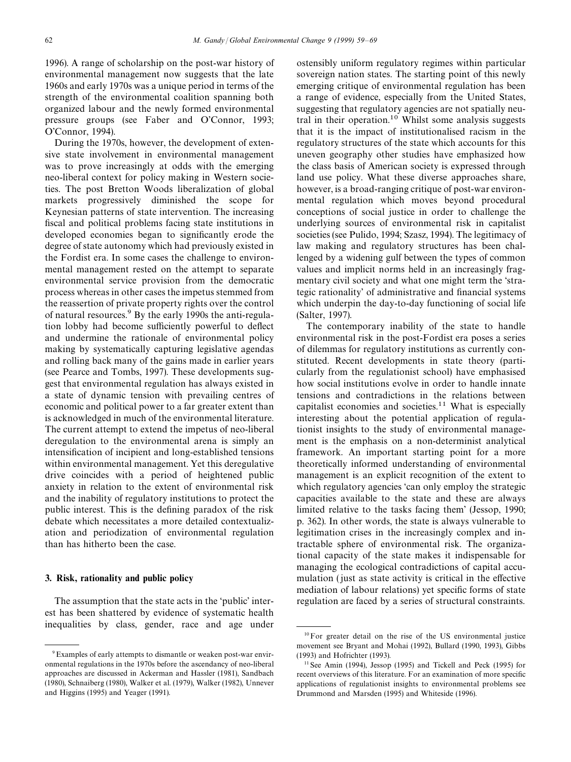1996). A range of scholarship on the post-war history of environmental management now suggests that the late 1960s and early 1970s was a unique period in terms of the strength of the environmental coalition spanning both organized labour and the newly formed environmental pressure groups (see Faber and O'Connor, 1993; O'Connor, 1994).

During the 1970s, however, the development of extensive state involvement in environmental management was to prove increasingly at odds with the emerging neo-liberal context for policy making in Western societies. The post Bretton Woods liberalization of global markets progressively diminished the scope for Keynesian patterns of state intervention. The increasing fiscal and political problems facing state institutions in developed economies began to significantly erode the degree of state autonomy which had previously existed in the Fordist era. In some cases the challenge to environmental management rested on the attempt to separate environmental service provision from the democratic process whereas in other cases the impetus stemmed from the reassertion of private property rights over the control of natural resources.<sup>9</sup> By the early 1990s the anti-regulation lobby had become sufficiently powerful to deflect and undermine the rationale of environmental policy making by systematically capturing legislative agendas and rolling back many of the gains made in earlier years (see Pearce and Tombs, 1997). These developments suggest that environmental regulation has always existed in a state of dynamic tension with prevailing centres of economic and political power to a far greater extent than is acknowledged in much of the environmental literature. The current attempt to extend the impetus of neo-liberal deregulation to the environmental arena is simply an intensification of incipient and long-established tensions within environmental management. Yet this deregulative drive coincides with a period of heightened public anxiety in relation to the extent of environmental risk and the inability of regulatory institutions to protect the public interest. This is the defining paradox of the risk debate which necessitates a more detailed contextualization and periodization of environmental regulation than has hitherto been the case.

#### 3. Risk, rationality and public policy

The assumption that the state acts in the 'public' interest has been shattered by evidence of systematic health inequalities by class, gender, race and age under ostensibly uniform regulatory regimes within particular sovereign nation states. The starting point of this newly emerging critique of environmental regulation has been a range of evidence, especially from the United States, suggesting that regulatory agencies are not spatially neutral in their operation.<sup>10</sup> Whilst some analysis suggests that it is the impact of institutionalised racism in the regulatory structures of the state which accounts for this uneven geography other studies have emphasized how the class basis of American society is expressed through land use policy. What these diverse approaches share, however, is a broad-ranging critique of post-war environmental regulation which moves beyond procedural conceptions of social justice in order to challenge the underlying sources of environmental risk in capitalist societies (see Pulido, 1994; Szasz, 1994). The legitimacy of law making and regulatory structures has been challenged by a widening gulf between the types of common values and implicit norms held in an increasingly fragmentary civil society and what one might term the 'strategic rationality' of administrative and financial systems which underpin the day-to-day functioning of social life (Salter, 1997).

The contemporary inability of the state to handle environmental risk in the post-Fordist era poses a series of dilemmas for regulatory institutions as currently constituted. Recent developments in state theory (particularly from the regulationist school) have emphasised how social institutions evolve in order to handle innate tensions and contradictions in the relations between capitalist economies and societies.<sup>11</sup> What is especially interesting about the potential application of regulationist insights to the study of environmental management is the emphasis on a non-determinist analytical framework. An important starting point for a more theoretically informed understanding of environmental management is an explicit recognition of the extent to which regulatory agencies 'can only employ the strategic capacities available to the state and these are always limited relative to the tasks facing them' (Jessop, 1990; p. 362). In other words, the state is always vulnerable to legitimation crises in the increasingly complex and intractable sphere of environmental risk. The organizational capacity of the state makes it indispensable for managing the ecological contradictions of capital accumulation ( just as state activity is critical in the effective mediation of labour relations) yet specific forms of state regulation are faced by a series of structural constraints.

<sup>9</sup>Examples of early attempts to dismantle or weaken post-war environmental regulations in the 1970s before the ascendancy of neo-liberal approaches are discussed in Ackerman and Hassler (1981), Sandbach (1980), Schnaiberg (1980), Walker et al. (1979), Walker (1982), Unnever and Higgins (1995) and Yeager (1991).

<sup>&</sup>lt;sup>10</sup>For greater detail on the rise of the US environmental justice movement see Bryant and Mohai (1992), Bullard (1990, 1993), Gibbs (1993) and Hofrichter (1993).

 $11$  See Amin (1994), Jessop (1995) and Tickell and Peck (1995) for recent overviews of this literature. For an examination of more specific applications of regulationist insights to environmental problems see Drummond and Marsden (1995) and Whiteside (1996).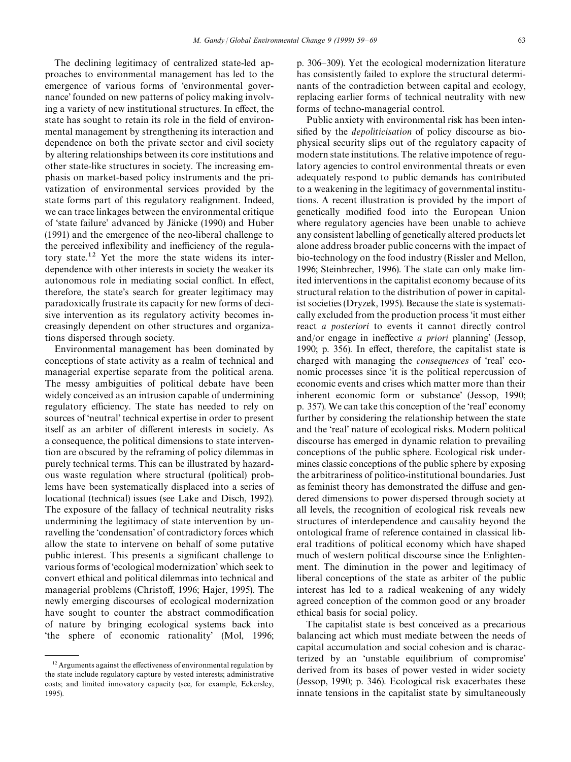The declining legitimacy of centralized state-led approaches to environmental management has led to the emergence of various forms of 'environmental governance' founded on new patterns of policy making involving a variety of new institutional structures. In effect, the state has sought to retain its role in the field of environmental management by strengthening its interaction and dependence on both the private sector and civil society by altering relationships between its core institutions and other state-like structures in society. The increasing emphasis on market-based policy instruments and the privatization of environmental services provided by the state forms part of this regulatory realignment. Indeed, we can trace linkages between the environmental critique of 'state failure' advanced by Jänicke (1990) and Huber (1991) and the emergence of the neo-liberal challenge to the perceived inflexibility and inefficiency of the regulatory state.12 Yet the more the state widens its interdependence with other interests in society the weaker its autonomous role in mediating social conflict. In effect, therefore, the state's search for greater legitimacy may paradoxically frustrate its capacity for new forms of decisive intervention as its regulatory activity becomes increasingly dependent on other structures and organizations dispersed through society.

Environmental management has been dominated by conceptions of state activity as a realm of technical and managerial expertise separate from the political arena. The messy ambiguities of political debate have been widely conceived as an intrusion capable of undermining regulatory efficiency. The state has needed to rely on sources of 'neutral' technical expertise in order to present itself as an arbiter of different interests in society. As a consequence, the political dimensions to state intervention are obscured by the reframing of policy dilemmas in purely technical terms. This can be illustrated by hazardous waste regulation where structural (political) problems have been systematically displaced into a series of locational (technical) issues (see Lake and Disch, 1992). The exposure of the fallacy of technical neutrality risks undermining the legitimacy of state intervention by unravelling the 'condensation' of contradictory forces which allow the state to intervene on behalf of some putative public interest. This presents a significant challenge to various forms of 'ecological modernization' which seek to convert ethical and political dilemmas into technical and managerial problems (Christoff, 1996; Hajer, 1995). The newly emerging discourses of ecological modernization have sought to counter the abstract commodification of nature by bringing ecological systems back into 'the sphere of economic rationality' (Mol, 1996;

p. 306*—*309). Yet the ecological modernization literature has consistently failed to explore the structural determinants of the contradiction between capital and ecology, replacing earlier forms of technical neutrality with new forms of techno-managerial control.

Public anxiety with environmental risk has been intensified by the *depoliticisation* of policy discourse as biophysical security slips out of the regulatory capacity of modern state institutions. The relative impotence of regulatory agencies to control environmental threats or even adequately respond to public demands has contributed to a weakening in the legitimacy of governmental institutions. A recent illustration is provided by the import of genetically modified food into the European Union where regulatory agencies have been unable to achieve any consistent labelling of genetically altered products let alone address broader public concerns with the impact of bio-technology on the food industry (Rissler and Mellon, 1996; Steinbrecher, 1996). The state can only make limited interventions in the capitalist economy because of its structural relation to the distribution of power in capitalist societies (Dryzek, 1995). Because the state is systematically excluded from the production process 'it must either react *a posteriori* to events it cannot directly control and/or engage in ineffective *a priori* planning' (Jessop, 1990; p. 356). In effect, therefore, the capitalist state is charged with managing the *consequences* of 'real' economic processes since 'it is the political repercussion of economic events and crises which matter more than their inherent economic form or substance' (Jessop, 1990; p. 357). We can take this conception of the 'real' economy further by considering the relationship between the state and the 'real' nature of ecological risks. Modern political discourse has emerged in dynamic relation to prevailing conceptions of the public sphere. Ecological risk undermines classic conceptions of the public sphere by exposing the arbitrariness of politico-institutional boundaries. Just as feminist theory has demonstrated the diffuse and gendered dimensions to power dispersed through society at all levels, the recognition of ecological risk reveals new structures of interdependence and causality beyond the ontological frame of reference contained in classical liberal traditions of political economy which have shaped much of western political discourse since the Enlightenment. The diminution in the power and legitimacy of liberal conceptions of the state as arbiter of the public interest has led to a radical weakening of any widely agreed conception of the common good or any broader ethical basis for social policy.

The capitalist state is best conceived as a precarious balancing act which must mediate between the needs of capital accumulation and social cohesion and is characterized by an 'unstable equilibrium of compromise' derived from its bases of power vested in wider society (Jessop, 1990; p. 346). Ecological risk exacerbates these innate tensions in the capitalist state by simultaneously

<sup>&</sup>lt;sup>12</sup> Arguments against the effectiveness of environmental regulation by the state include regulatory capture by vested interests; administrative costs; and limited innovatory capacity (see, for example, Eckersley, 1995).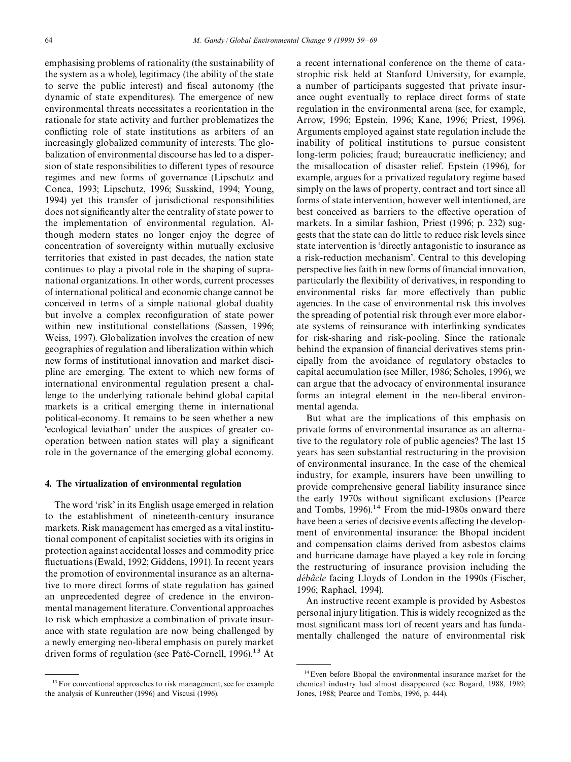emphasising problems of rationality (the sustainability of the system as a whole), legitimacy (the ability of the state to serve the public interest) and fiscal autonomy (the dynamic of state expenditures). The emergence of new environmental threats necessitates a reorientation in the rationale for state activity and further problematizes the conflicting role of state institutions as arbiters of an increasingly globalized community of interests. The globalization of environmental discourse has led to a dispersion of state responsibilities to different types of resource regimes and new forms of governance (Lipschutz and Conca, 1993; Lipschutz, 1996; Susskind, 1994; Young, 1994) yet this transfer of jurisdictional responsibilities does not significantly alter the centrality of state power to the implementation of environmental regulation. Although modern states no longer enjoy the degree of concentration of sovereignty within mutually exclusive territories that existed in past decades, the nation state continues to play a pivotal role in the shaping of supranational organizations. In other words, current processes of international political and economic change cannot be conceived in terms of a simple national*—*global duality but involve a complex reconfiguration of state power within new institutional constellations (Sassen, 1996; Weiss, 1997). Globalization involves the creation of new geographies of regulation and liberalization within which new forms of institutional innovation and market discipline are emerging. The extent to which new forms of international environmental regulation present a challenge to the underlying rationale behind global capital markets is a critical emerging theme in international political-economy. It remains to be seen whether a new 'ecological leviathan' under the auspices of greater cooperation between nation states will play a significant role in the governance of the emerging global economy.

## 4. The virtualization of environmental regulation

The word 'risk' in its English usage emerged in relation to the establishment of nineteenth-century insurance markets. Risk management has emerged as a vital institutional component of capitalist societies with its origins in protection against accidental losses and commodity price fluctuations (Ewald, 1992; Giddens, 1991). In recent years the promotion of environmental insurance as an alternative to more direct forms of state regulation has gained an unprecedented degree of credence in the environmental management literature. Conventional approaches to risk which emphasize a combination of private insurance with state regulation are now being challenged by a newly emerging neo-liberal emphasis on purely market driven forms of regulation (see Paté-Cornell, 1996).<sup>13</sup> At

a recent international conference on the theme of catastrophic risk held at Stanford University, for example, a number of participants suggested that private insurance ought eventually to replace direct forms of state regulation in the environmental arena (see, for example, Arrow, 1996; Epstein, 1996; Kane, 1996; Priest, 1996). Arguments employed against state regulation include the inability of political institutions to pursue consistent long-term policies; fraud; bureaucratic inefficiency; and the misallocation of disaster relief. Epstein (1996), for example, argues for a privatized regulatory regime based simply on the laws of property, contract and tort since all forms of state intervention, however well intentioned, are best conceived as barriers to the effective operation of markets. In a similar fashion, Priest (1996; p. 232) suggests that the state can do little to reduce risk levels since state intervention is 'directly antagonistic to insurance as a risk-reduction mechanism'. Central to this developing perspective lies faith in new forms of financial innovation, particularly the flexibility of derivatives, in responding to environmental risks far more effectively than public agencies. In the case of environmental risk this involves the spreading of potential risk through ever more elaborate systems of reinsurance with interlinking syndicates for risk-sharing and risk-pooling. Since the rationale behind the expansion of financial derivatives stems principally from the avoidance of regulatory obstacles to capital accumulation (see Miller, 1986; Scholes, 1996), we can argue that the advocacy of environmental insurance forms an integral element in the neo-liberal environmental agenda.

But what are the implications of this emphasis on private forms of environmental insurance as an alternative to the regulatory role of public agencies? The last 15 years has seen substantial restructuring in the provision of environmental insurance. In the case of the chemical industry, for example, insurers have been unwilling to provide comprehensive general liability insurance since the early 1970s without significant exclusions (Pearce and Tombs,  $1996$ <sup>14</sup> From the mid-1980s onward there have been a series of decisive events affecting the development of environmental insurance: the Bhopal incident and compensation claims derived from asbestos claims and hurricane damage have played a key role in forcing the restructuring of insurance provision including the *débâcle* facing Lloyds of London in the 1990s (Fischer, 1996; Raphael, 1994).

An instructive recent example is provided by Asbestos personal injury litigation. This is widely recognized as the most significant mass tort of recent years and has fundamentally challenged the nature of environmental risk

<sup>&</sup>lt;sup>13</sup> For conventional approaches to risk management, see for example the analysis of Kunreuther (1996) and Viscusi (1996).

<sup>&</sup>lt;sup>14</sup> Even before Bhopal the environmental insurance market for the chemical industry had almost disappeared (see Bogard, 1988, 1989; Jones, 1988; Pearce and Tombs, 1996, p. 444).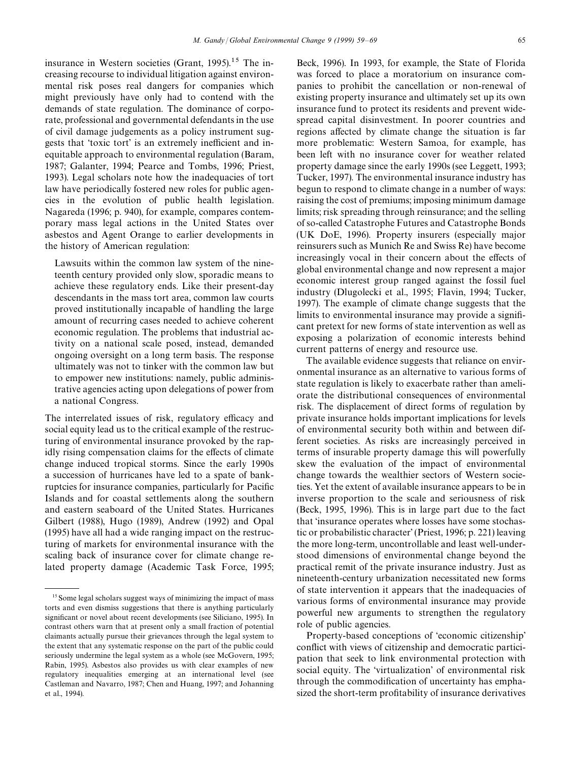insurance in Western societies (Grant,  $1995$ ).<sup>15</sup> The increasing recourse to individual litigation against environmental risk poses real dangers for companies which might previously have only had to contend with the demands of state regulation. The dominance of corporate, professional and governmental defendants in the use of civil damage judgements as a policy instrument suggests that 'toxic tort' is an extremely inefficient and inequitable approach to environmental regulation (Baram, 1987; Galanter, 1994; Pearce and Tombs, 1996; Priest, 1993). Legal scholars note how the inadequacies of tort law have periodically fostered new roles for public agencies in the evolution of public health legislation. Nagareda (1996; p. 940), for example, compares contemporary mass legal actions in the United States over asbestos and Agent Orange to earlier developments in the history of American regulation:

Lawsuits within the common law system of the nineteenth century provided only slow, sporadic means to achieve these regulatory ends. Like their present-day descendants in the mass tort area, common law courts proved institutionally incapable of handling the large amount of recurring cases needed to achieve coherent economic regulation. The problems that industrial activity on a national scale posed, instead, demanded ongoing oversight on a long term basis. The response ultimately was not to tinker with the common law but to empower new institutions: namely, public administrative agencies acting upon delegations of power from a national Congress.

The interrelated issues of risk, regulatory efficacy and social equity lead us to the critical example of the restructuring of environmental insurance provoked by the rapidly rising compensation claims for the effects of climate change induced tropical storms. Since the early 1990s a succession of hurricanes have led to a spate of bankruptcies for insurance companies, particularly for Pacific Islands and for coastal settlements along the southern and eastern seaboard of the United States. Hurricanes Gilbert (1988), Hugo (1989), Andrew (1992) and Opal (1995) have all had a wide ranging impact on the restructuring of markets for environmental insurance with the scaling back of insurance cover for climate change related property damage (Academic Task Force, 1995;

Beck, 1996). In 1993, for example, the State of Florida was forced to place a moratorium on insurance companies to prohibit the cancellation or non-renewal of existing property insurance and ultimately set up its own insurance fund to protect its residents and prevent widespread capital disinvestment. In poorer countries and regions affected by climate change the situation is far more problematic: Western Samoa, for example, has been left with no insurance cover for weather related property damage since the early 1990s (see Leggett, 1993; Tucker, 1997). The environmental insurance industry has begun to respond to climate change in a number of ways: raising the cost of premiums; imposing minimum damage limits; risk spreading through reinsurance; and the selling of so-called Catastrophe Futures and Catastrophe Bonds (UK DoE, 1996). Property insurers (especially major reinsurers such as Munich Re and Swiss Re) have become increasingly vocal in their concern about the effects of global environmental change and now represent a major economic interest group ranged against the fossil fuel industry (Dlugolecki et al., 1995; Flavin, 1994; Tucker, 1997). The example of climate change suggests that the limits to environmental insurance may provide a significant pretext for new forms of state intervention as well as exposing a polarization of economic interests behind current patterns of energy and resource use.

The available evidence suggests that reliance on environmental insurance as an alternative to various forms of state regulation is likely to exacerbate rather than ameliorate the distributional consequences of environmental risk. The displacement of direct forms of regulation by private insurance holds important implications for levels of environmental security both within and between different societies. As risks are increasingly perceived in terms of insurable property damage this will powerfully skew the evaluation of the impact of environmental change towards the wealthier sectors of Western societies. Yet the extent of available insurance appears to be in inverse proportion to the scale and seriousness of risk (Beck, 1995, 1996). This is in large part due to the fact that 'insurance operates where losses have some stochastic or probabilistic character' (Priest, 1996; p. 221) leaving the more long-term, uncontrollable and least well-understood dimensions of environmental change beyond the practical remit of the private insurance industry. Just as nineteenth-century urbanization necessitated new forms of state intervention it appears that the inadequacies of various forms of environmental insurance may provide powerful new arguments to strengthen the regulatory role of public agencies.

Property-based conceptions of 'economic citizenship' conflict with views of citizenship and democratic participation that seek to link environmental protection with social equity. The 'virtualization' of environmental risk through the commodification of uncertainty has emphasized the short-term profitability of insurance derivatives

<sup>&</sup>lt;sup>15</sup> Some legal scholars suggest ways of minimizing the impact of mass torts and even dismiss suggestions that there is anything particularly significant or novel about recent developments (see Siliciano, 1995). In contrast others warn that at present only a small fraction of potential claimants actually pursue their grievances through the legal system to the extent that any systematic response on the part of the public could seriously undermine the legal system as a whole (see McGovern, 1995; Rabin, 1995). Asbestos also provides us with clear examples of new regulatory inequalities emerging at an international level (see Castleman and Navarro, 1987; Chen and Huang, 1997; and Johanning et al., 1994).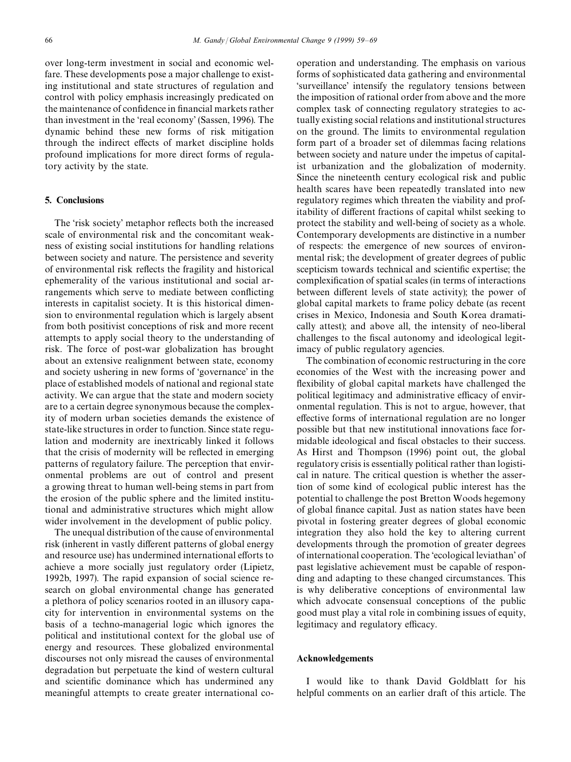over long-term investment in social and economic welfare. These developments pose a major challenge to existing institutional and state structures of regulation and control with policy emphasis increasingly predicated on the maintenance of confidence in financial markets rather than investment in the 'real economy' (Sassen, 1996). The dynamic behind these new forms of risk mitigation through the indirect effects of market discipline holds profound implications for more direct forms of regulatory activity by the state.

## 5. Conclusions

The 'risk society' metaphor reflects both the increased scale of environmental risk and the concomitant weakness of existing social institutions for handling relations between society and nature. The persistence and severity of environmental risk reflects the fragility and historical ephemerality of the various institutional and social arrangements which serve to mediate between conflicting interests in capitalist society. It is this historical dimension to environmental regulation which is largely absent from both positivist conceptions of risk and more recent attempts to apply social theory to the understanding of risk. The force of post-war globalization has brought about an extensive realignment between state, economy and society ushering in new forms of 'governance' in the place of established models of national and regional state activity. We can argue that the state and modern society are to a certain degree synonymous because the complexity of modern urban societies demands the existence of state-like structures in order to function. Since state regulation and modernity are inextricably linked it follows that the crisis of modernity will be reflected in emerging patterns of regulatory failure. The perception that environmental problems are out of control and present a growing threat to human well-being stems in part from the erosion of the public sphere and the limited institutional and administrative structures which might allow wider involvement in the development of public policy.

The unequal distribution of the cause of environmental risk (inherent in vastly different patterns of global energy and resource use) has undermined international efforts to achieve a more socially just regulatory order (Lipietz, 1992b, 1997). The rapid expansion of social science research on global environmental change has generated a plethora of policy scenarios rooted in an illusory capacity for intervention in environmental systems on the basis of a techno-managerial logic which ignores the political and institutional context for the global use of energy and resources. These globalized environmental discourses not only misread the causes of environmental degradation but perpetuate the kind of western cultural and scientific dominance which has undermined any meaningful attempts to create greater international cooperation and understanding. The emphasis on various forms of sophisticated data gathering and environmental 'surveillance' intensify the regulatory tensions between the imposition of rational order from above and the more complex task of connecting regulatory strategies to actually existing social relations and institutional structures on the ground. The limits to environmental regulation form part of a broader set of dilemmas facing relations between society and nature under the impetus of capitalist urbanization and the globalization of modernity. Since the nineteenth century ecological risk and public health scares have been repeatedly translated into new regulatory regimes which threaten the viability and profitability of different fractions of capital whilst seeking to protect the stability and well-being of society as a whole. Contemporary developments are distinctive in a number of respects: the emergence of new sources of environmental risk; the development of greater degrees of public scepticism towards technical and scientific expertise; the complexification of spatial scales (in terms of interactions between different levels of state activity); the power of global capital markets to frame policy debate (as recent crises in Mexico, Indonesia and South Korea dramatically attest); and above all, the intensity of neo-liberal challenges to the fiscal autonomy and ideological legitimacy of public regulatory agencies.

The combination of economic restructuring in the core economies of the West with the increasing power and flexibility of global capital markets have challenged the political legitimacy and administrative efficacy of environmental regulation. This is not to argue, however, that effective forms of international regulation are no longer possible but that new institutional innovations face formidable ideological and fiscal obstacles to their success. As Hirst and Thompson (1996) point out, the global regulatory crisis is essentially political rather than logistical in nature. The critical question is whether the assertion of some kind of ecological public interest has the potential to challenge the post Bretton Woods hegemony of global finance capital. Just as nation states have been pivotal in fostering greater degrees of global economic integration they also hold the key to altering current developments through the promotion of greater degrees of international cooperation. The 'ecological leviathan' of past legislative achievement must be capable of responding and adapting to these changed circumstances. This is why deliberative conceptions of environmental law which advocate consensual conceptions of the public good must play a vital role in combining issues of equity, legitimacy and regulatory efficacy.

## Acknowledgements

I would like to thank David Goldblatt for his helpful comments on an earlier draft of this article. The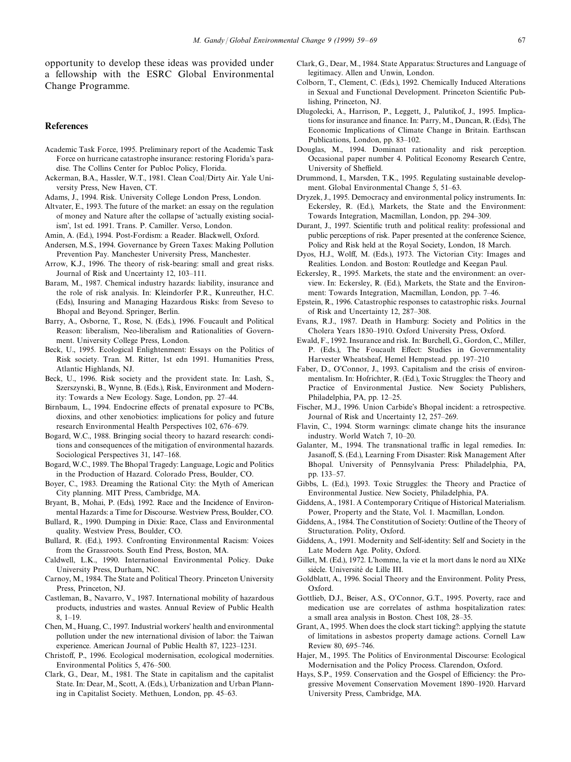opportunity to develop these ideas was provided under a fellowship with the ESRC Global Environmental Change Programme.

## References

- Academic Task Force, 1995. Preliminary report of the Academic Task Force on hurricane catastrophe insurance: restoring Florida's paradise. The Collins Center for Publoc Policy, Florida.
- Ackerman, B.A., Hassler, W.T., 1981. Clean Coal/Dirty Air. Yale University Press, New Haven, CT.

Adams, J., 1994. Risk. University College London Press, London.

- Altvater, E., 1993. The future of the market: an essay on the regulation of money and Nature after the collapse of 'actually existing socialism', 1st ed. 1991. Trans. P. Camiller. Verso, London.
- Amin, A. (Ed.), 1994. Post-Fordism: a Reader. Blackwell, Oxford.
- Andersen, M.S., 1994. Governance by Green Taxes: Making Pollution Prevention Pay. Manchester University Press, Manchester.
- Arrow, K.J., 1996. The theory of risk-bearing: small and great risks. Journal of Risk and Uncertainty 12, 103*—*111.
- Baram, M., 1987. Chemical industry hazards: liability, insurance and the role of risk analysis. In: Kleindorfer P.R., Kunreuther, H.C. (Eds), Insuring and Managing Hazardous Risks: from Seveso to Bhopal and Beyond. Springer, Berlin.
- Barry, A., Osborne, T., Rose, N. (Eds.), 1996. Foucault and Political Reason: liberalism, Neo-liberalism and Rationalities of Government. University College Press, London.
- Beck, U., 1995. Ecological Enlightenment: Essays on the Politics of Risk society. Tran. M. Ritter, 1st edn 1991. Humanities Press, Atlantic Highlands, NJ.
- Beck, U., 1996. Risk society and the provident state. In: Lash, S., Szerszynski, B., Wynne, B. (Eds.), Risk, Environment and Modernity: Towards a New Ecology. Sage, London, pp. 27*—*44.
- Birnbaum, L., 1994. Endocrine effects of prenatal exposure to PCBs, dioxins, and other xenobiotics: implications for policy and future research Environmental Health Perspectives 102, 676*—*679.
- Bogard, W.C., 1988. Bringing social theory to hazard research: conditions and consequences of the mitigation of environmental hazards. Sociological Perspectives 31, 147*—*168.
- Bogard, W.C., 1989. The Bhopal Tragedy: Language, Logic and Politics in the Production of Hazard. Colorado Press, Boulder, CO.
- Boyer, C., 1983. Dreaming the Rational City: the Myth of American City planning. MIT Press, Cambridge, MA.
- Bryant, B., Mohai, P. (Eds), 1992. Race and the Incidence of Environmental Hazards: a Time for Discourse. Westview Press, Boulder, CO.
- Bullard, R., 1990. Dumping in Dixie: Race, Class and Environmental quality. Westview Press, Boulder, CO.
- Bullard, R. (Ed.), 1993. Confronting Environmental Racism: Voices from the Grassroots. South End Press, Boston, MA.
- Caldwell, L.K., 1990. International Environmental Policy. Duke University Press, Durham, NC.
- Carnoy, M., 1984. The State and Political Theory. Princeton University Press, Princeton, NJ.
- Castleman, B., Navarro, V., 1987. International mobility of hazardous products, industries and wastes. Annual Review of Public Health 8, 1*—*19.
- Chen, M., Huang, C., 1997. Industrial workers' health and environmental pollution under the new international division of labor: the Taiwan experience. American Journal of Public Health 87, 1223*—*1231.
- Christoff, P., 1996. Ecological modernisation, ecological modernities. Environmental Politics 5, 476*—*500.
- Clark, G., Dear, M., 1981. The State in capitalism and the capitalist State. In: Dear, M., Scott, A. (Eds.), Urbanization and Urban Planning in Capitalist Society. Methuen, London, pp. 45*—*63.
- Clark, G., Dear, M., 1984. State Apparatus: Structures and Language of legitimacy. Allen and Unwin, London.
- Colborn, T., Clement, C. (Eds.), 1992. Chemically Induced Alterations in Sexual and Functional Development. Princeton Scientific Publishing, Princeton, NJ.
- Dlugolecki, A., Harrison, P., Leggett, J., Palutikof, J., 1995. Implications for insurance and finance. In: Parry, M., Duncan, R. (Eds), The Economic Implications of Climate Change in Britain. Earthscan Publications, London, pp. 83*—*102.
- Douglas, M., 1994. Dominant rationality and risk perception. Occasional paper number 4. Political Economy Research Centre, University of Sheffield.
- Drummond, I., Marsden, T.K., 1995. Regulating sustainable development. Global Environmental Change 5, 51*—*63.
- Dryzek, J., 1995. Democracy and environmental policy instruments. In: Eckersley, R. (Ed.), Markets, the State and the Environment: Towards Integration, Macmillan, London, pp. 294*—*309.
- Durant, J., 1997. Scientific truth and political reality: professional and public perceptions of risk. Paper presented at the conference Science, Policy and Risk held at the Royal Society, London, 18 March.
- Dyos, H.J., Wolff, M. (Eds.), 1973. The Victorian City: Images and Realities. London. and Boston: Routledge and Keegan Paul.
- Eckersley, R., 1995. Markets, the state and the environment: an overview. In: Eckersley, R. (Ed.), Markets, the State and the Environment: Towards Integration, Macmillan, London, pp. 7*—*46.
- Epstein, R., 1996. Catastrophic responses to catastrophic risks. Journal of Risk and Uncertainty 12, 287*—*308.
- Evans, R.J., 1987. Death in Hamburg: Society and Politics in the Cholera Years 1830*—*1910. Oxford University Press, Oxford.
- Ewald, F., 1992. Insurance and risk. In: Burchell, G., Gordon, C., Miller, P. (Eds.), The Foucault Effect: Studies in Governmentality Harvester Wheatsheaf, Hemel Hempstead. pp. 197*—*210
- Faber, D., O'Connor, J., 1993. Capitalism and the crisis of environmentalism. In: Hofrichter, R. (Ed.), Toxic Struggles: the Theory and Practice of Environmental Justice. New Society Publishers, Philadelphia, PA, pp. 12*—*25.
- Fischer, M.J., 1996. Union Carbide's Bhopal incident: a retrospective. Journal of Risk and Uncertainty 12, 257*—*269.
- Flavin, C., 1994. Storm warnings: climate change hits the insurance industry. World Watch 7, 10*—*20.
- Galanter, M., 1994. The transnational traffic in legal remedies. In: Jasanoff, S. (Ed.), Learning From Disaster: Risk Management After Bhopal. University of Pennsylvania Press: Philadelphia, PA, pp. 133*—*57.
- Gibbs, L. (Ed.), 1993. Toxic Struggles: the Theory and Practice of Environmental Justice. New Society, Philadelphia, PA.
- Giddens, A., 1981. A Contemporary Critique of Historical Materialism. Power, Property and the State, Vol. 1. Macmillan, London.
- Giddens, A., 1984. The Constitution of Society: Outline of the Theory of Structuration. Polity, Oxford.
- Giddens, A., 1991. Modernity and Self-identity: Self and Society in the Late Modern Age. Polity, Oxford.
- Gillet, M. (Ed.), 1972. L'homme, la vie et la mort dans le nord au XIXe siècle. Université de Lille III.
- Goldblatt, A., 1996. Social Theory and the Environment. Polity Press, Oxford.
- Gottlieb, D.J., Beiser, A.S., O'Connor, G.T., 1995. Poverty, race and medication use are correlates of asthma hospitalization rates: a small area analysis in Boston. Chest 108, 28*—*35.
- Grant, A., 1995. When does the clock start ticking?: applying the statute of limitations in asbestos property damage actions. Cornell Law Review 80, 695*—*746.
- Hajer, M., 1995. The Politics of Environmental Discourse: Ecological Modernisation and the Policy Process. Clarendon, Oxford.
- Hays, S.P., 1959. Conservation and the Gospel of Efficiency: the Progressive Movement Conservation Movement 1890*—*1920. Harvard University Press, Cambridge, MA.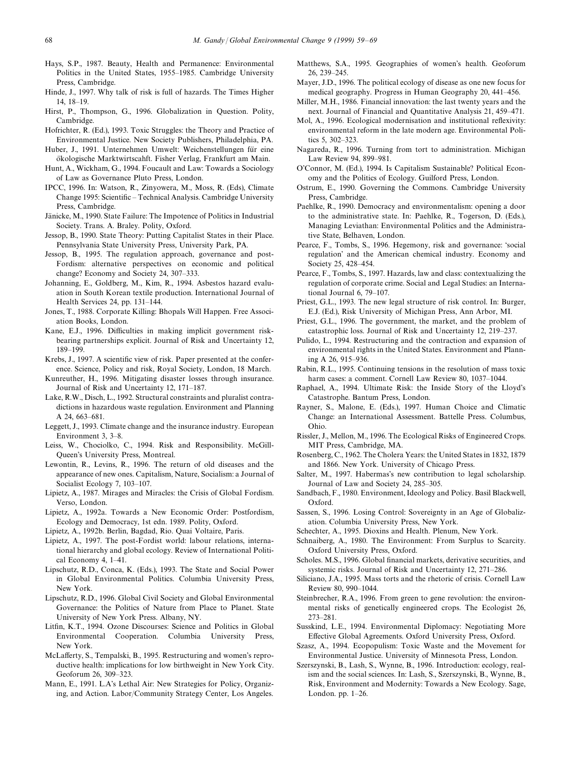- Hays, S.P., 1987. Beauty, Health and Permanence: Environmental Politics in the United States, 1955*—*1985. Cambridge University Press, Cambridge.
- Hinde, J., 1997. Why talk of risk is full of hazards. The Times Higher 14, 18*—*19.
- Hirst, P., Thompson, G., 1996. Globalization in Question. Polity, Cambridge.
- Hofrichter, R. (Ed.), 1993. Toxic Struggles: the Theory and Practice of Environmental Justice. New Society Publishers, Philadelphia, PA.
- Huber, J., 1991. Unternehmen Umwelt: Weichenstellungen für eine ökologische Marktwirtscahft. Fisher Verlag, Frankfurt am Main.
- Hunt, A., Wickham, G., 1994. Foucault and Law: Towards a Sociology of Law as Governance Pluto Press, London.
- IPCC, 1996. In: Watson, R., Zinyowera, M., Moss, R. (Eds), Climate Change 1995: Scientific *—* Technical Analysis. Cambridge University Press, Cambridge.
- Jänicke, M., 1990. State Failure: The Impotence of Politics in Industrial Society. Trans. A. Braley. Polity, Oxford.
- Jessop, B., 1990. State Theory: Putting Capitalist States in their Place. Pennsylvania State University Press, University Park, PA.
- Jessop, B., 1995. The regulation approach, governance and post-Fordism: alternative perspectives on economic and political change? Economy and Society 24, 307*—*333.
- Johanning, E., Goldberg, M., Kim, R., 1994. Asbestos hazard evaluation in South Korean textile production. International Journal of Health Services 24, pp. 131*—*144.
- Jones, T., 1988. Corporate Killing: Bhopals Will Happen. Free Association Books, London.
- Kane, E.J., 1996. Difficulties in making implicit government riskbearing partnerships explicit. Journal of Risk and Uncertainty 12, 189*—*199.
- Krebs, J., 1997. A scientific view of risk. Paper presented at the conference. Science, Policy and risk, Royal Society, London, 18 March.
- Kunreuther, H., 1996. Mitigating disaster losses through insurance. Journal of Risk and Uncertainty 12, 171*—*187.
- Lake, R.W., Disch, L., 1992. Structural constraints and pluralist contradictions in hazardous waste regulation. Environment and Planning A 24, 663*—*681.
- Leggett, J., 1993. Climate change and the insurance industry. European Environment 3, 3*—*8.
- Leiss, W., Chociolko, C., 1994. Risk and Responsibility. McGill-Queen's University Press, Montreal.
- Lewontin, R., Levins, R., 1996. The return of old diseases and the appearance of new ones. Capitalism, Nature, Socialism: a Journal of Socialist Ecology 7, 103*—*107.
- Lipietz, A., 1987. Mirages and Miracles: the Crisis of Global Fordism. Verso, London.
- Lipietz, A., 1992a. Towards a New Economic Order: Postfordism, Ecology and Democracy, 1st edn. 1989. Polity, Oxford.
- Lipietz, A., 1992b. Berlin, Bagdad, Rio. Quai Voltaire, Paris.
- Lipietz, A., 1997. The post-Fordist world: labour relations, international hierarchy and global ecology. Review of International Political Economy 4, 1*—*41.
- Lipschutz, R.D., Conca, K. (Eds.), 1993. The State and Social Power in Global Environmental Politics. Columbia University Press, New York.
- Lipschutz, R.D., 1996. Global Civil Society and Global Environmental Governance: the Politics of Nature from Place to Planet. State University of New York Press. Albany, NY.
- Litfin, K.T., 1994. Ozone Discourses: Science and Politics in Global Environmental Cooperation. Columbia University Press, New York.
- McLafferty, S., Tempalski, B., 1995. Restructuring and women's reproductive health: implications for low birthweight in New York City. Geoforum 26, 309*—*323.
- Mann, E., 1991. L.A's Lethal Air: New Strategies for Policy, Organizing, and Action. Labor/Community Strategy Center, Los Angeles.
- Matthews, S.A., 1995. Geographies of women's health. Geoforum 26, 239*—*245.
- Mayer, J.D., 1996. The political ecology of disease as one new focus for medical geography. Progress in Human Geography 20, 441*—*456.
- Miller, M.H., 1986. Financial innovation: the last twenty years and the next. Journal of Financial and Quantitative Analysis 21, 459*—*471.
- Mol, A., 1996. Ecological modernisation and institutional reflexivity: environmental reform in the late modern age. Environmental Politics 5, 302*—*323.
- Nagareda, R., 1996. Turning from tort to administration. Michigan Law Review 94, 899*—*981.
- O'Connor, M. (Ed.), 1994. Is Capitalism Sustainable? Political Economy and the Politics of Ecology. Guilford Press, London.
- Ostrum, E., 1990. Governing the Commons. Cambridge University Press, Cambridge.
- Paehlke, R., 1990. Democracy and environmentalism: opening a door to the administrative state. In: Paehlke, R., Togerson, D. (Eds.), Managing Leviathan: Environmental Politics and the Administrative State, Belhaven, London.
- Pearce, F., Tombs, S., 1996. Hegemony, risk and governance: 'social regulation' and the American chemical industry. Economy and Society 25, 428*—*454.
- Pearce, F., Tombs, S., 1997. Hazards, law and class: contextualizing the regulation of corporate crime. Social and Legal Studies: an International Journal 6, 79*—*107.
- Priest, G.L., 1993. The new legal structure of risk control. In: Burger, E.J. (Ed.), Risk University of Michigan Press, Ann Arbor, MI.
- Priest, G.L., 1996. The government, the market, and the problem of catastrophic loss. Journal of Risk and Uncertainty 12, 219*—*237.
- Pulido, L., 1994. Restructuring and the contraction and expansion of environmental rights in the United States. Environment and Planning A 26, 915*—*936.
- Rabin, R.L., 1995. Continuing tensions in the resolution of mass toxic harm cases: a comment. Cornell Law Review 80, 1037*—*1044.
- Raphael, A., 1994. Ultimate Risk: the Inside Story of the Lloyd's Catastrophe. Bantum Press, London.
- Rayner, S., Malone, E. (Eds.), 1997. Human Choice and Climatic Change: an International Assessment. Battelle Press. Columbus, Ohio.
- Rissler, J., Mellon, M., 1996. The Ecological Risks of Engineered Crops. MIT Press, Cambridge, MA.
- Rosenberg, C., 1962. The Cholera Years: the United States in 1832, 1879 and 1866. New York. University of Chicago Press.
- Salter, M., 1997. Habermas's new contribution to legal scholarship. Journal of Law and Society 24, 285*—*305.
- Sandbach, F., 1980. Environment, Ideology and Policy. Basil Blackwell, Oxford.
- Sassen, S., 1996. Losing Control: Sovereignty in an Age of Globalization. Columbia University Press, New York.
- Schechter, A., 1995. Dioxins and Health. Plenum, New York.
- Schnaiberg, A., 1980. The Environment: From Surplus to Scarcity. Oxford University Press, Oxford.
- Scholes. M.S., 1996. Global financial markets, derivative securities, and systemic risks. Journal of Risk and Uncertainty 12, 271*—*286.
- Siliciano, J.A., 1995. Mass torts and the rhetoric of crisis. Cornell Law Review 80, 990*—*1044.
- Steinbrecher, R.A., 1996. From green to gene revolution: the environmental risks of genetically engineered crops. The Ecologist 26, 273*—*281.
- Susskind, L.E., 1994. Environmental Diplomacy: Negotiating More Effective Global Agreements. Oxford University Press, Oxford.
- Szasz, A., 1994. Ecopopulism: Toxic Waste and the Movement for Environmental Justice. University of Minnesota Press, London.
- Szerszynski, B., Lash, S., Wynne, B., 1996. Introduction: ecology, realism and the social sciences. In: Lash, S., Szerszynski, B., Wynne, B., Risk, Environment and Modernity: Towards a New Ecology. Sage, London. pp. 1*—*26.